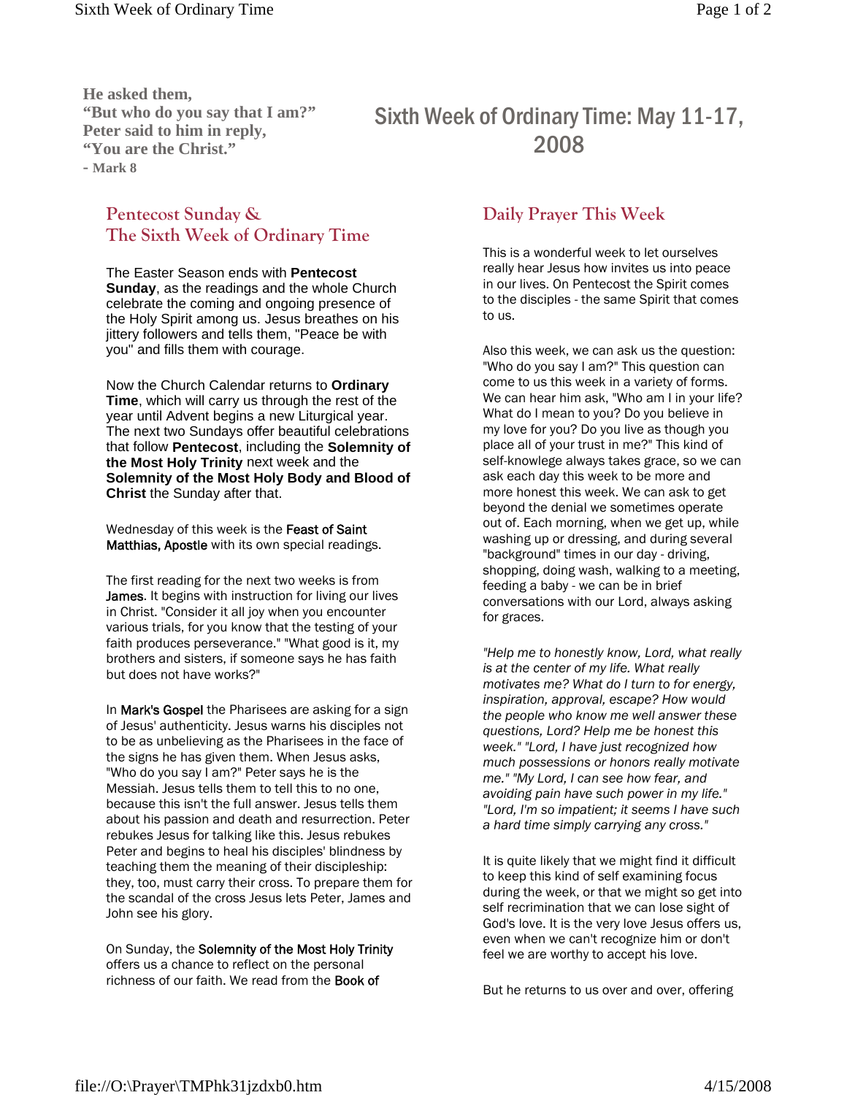**He asked them, "But who do you say that I am?" Peter said to him in reply, "You are the Christ." - Mark 8**

## **Pentecost Sunday & The Sixth Week of Ordinary Time**

The Easter Season ends with **Pentecost Sunday**, as the readings and the whole Church celebrate the coming and ongoing presence of the Holy Spirit among us. Jesus breathes on his jittery followers and tells them, "Peace be with you" and fills them with courage.

Now the Church Calendar returns to **Ordinary Time**, which will carry us through the rest of the year until Advent begins a new Liturgical year. The next two Sundays offer beautiful celebrations that follow **Pentecost**, including the **Solemnity of the Most Holy Trinity** next week and the **Solemnity of the Most Holy Body and Blood of Christ** the Sunday after that.

Wednesday of this week is the Feast of Saint Matthias, Apostle with its own special readings.

The first reading for the next two weeks is from James. It begins with instruction for living our lives in Christ. "Consider it all joy when you encounter various trials, for you know that the testing of your faith produces perseverance." "What good is it, my brothers and sisters, if someone says he has faith but does not have works?"

In **Mark's Gospel** the Pharisees are asking for a sign of Jesus' authenticity. Jesus warns his disciples not to be as unbelieving as the Pharisees in the face of the signs he has given them. When Jesus asks, "Who do you say I am?" Peter says he is the Messiah. Jesus tells them to tell this to no one, because this isn't the full answer. Jesus tells them about his passion and death and resurrection. Peter rebukes Jesus for talking like this. Jesus rebukes Peter and begins to heal his disciples' blindness by teaching them the meaning of their discipleship: they, too, must carry their cross. To prepare them for the scandal of the cross Jesus lets Peter, James and John see his glory.

On Sunday, the Solemnity of the Most Holy Trinity offers us a chance to reflect on the personal richness of our faith. We read from the Book of

## Sixth Week of Ordinary Time: May 11-17, 2008

## **Daily Prayer This Week**

This is a wonderful week to let ourselves really hear Jesus how invites us into peace in our lives. On Pentecost the Spirit comes to the disciples - the same Spirit that comes to us.

Also this week, we can ask us the question: "Who do you say I am?" This question can come to us this week in a variety of forms. We can hear him ask, "Who am I in your life? What do I mean to you? Do you believe in my love for you? Do you live as though you place all of your trust in me?" This kind of self-knowlege always takes grace, so we can ask each day this week to be more and more honest this week. We can ask to get beyond the denial we sometimes operate out of. Each morning, when we get up, while washing up or dressing, and during several "background" times in our day - driving, shopping, doing wash, walking to a meeting, feeding a baby - we can be in brief conversations with our Lord, always asking for graces.

*"Help me to honestly know, Lord, what really is at the center of my life. What really motivates me? What do I turn to for energy, inspiration, approval, escape? How would the people who know me well answer these questions, Lord? Help me be honest this week." "Lord, I have just recognized how much possessions or honors really motivate me." "My Lord, I can see how fear, and avoiding pain have such power in my life." "Lord, I'm so impatient; it seems I have such a hard time simply carrying any cross."*

It is quite likely that we might find it difficult to keep this kind of self examining focus during the week, or that we might so get into self recrimination that we can lose sight of God's love. It is the very love Jesus offers us, even when we can't recognize him or don't feel we are worthy to accept his love.

But he returns to us over and over, offering